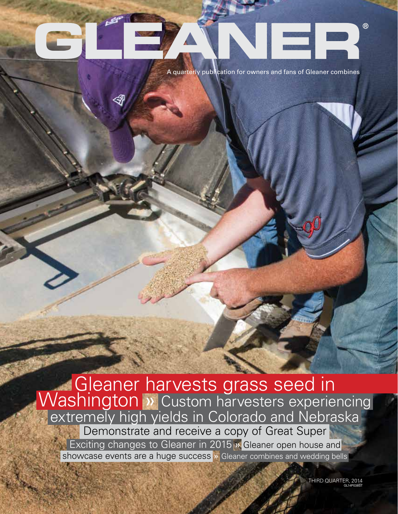# $^{\circ}$

A quarterly publication for owners and fans of Gleaner combines

Gleaner harvests grass seed in<br>Washington » Custom harvesters experiencing extremely high yields in Colorado and Nebraska Demonstrate and receive a copy of Great Super **Exciting changes to Gleaner in 2015** » Gleaner open house and showcase events are a huge success » Gleaner combines and wedding bells

> THIRD QUARTER, 2014 GL14P038ST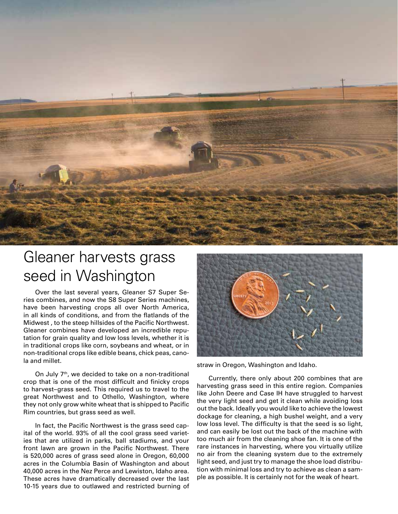

### Gleaner harvests grass seed in Washington

Over the last several years, Gleaner S7 Super Series combines, and now the S8 Super Series machines, have been harvesting crops all over North America, in all kinds of conditions, and from the flatlands of the Midwest , to the steep hillsides of the Pacific Northwest. Gleaner combines have developed an incredible reputation for grain quality and low loss levels, whether it is in traditional crops like corn, soybeans and wheat, or in non-traditional crops like edible beans, chick peas, canola and millet.

On July 7<sup>th</sup>, we decided to take on a non-traditional crop that is one of the most difficult and finicky crops to harvest–grass seed. This required us to travel to the great Northwest and to Othello, Washington, where they not only grow white wheat that is shipped to Pacific Rim countries, but grass seed as well.

In fact, the Pacific Northwest is the grass seed capital of the world. 93% of all the cool grass seed varieties that are utilized in parks, ball stadiums, and your front lawn are grown in the Pacific Northwest. There is 520,000 acres of grass seed alone in Oregon, 60,000 acres in the Columbia Basin of Washington and about 40,000 acres in the Nez Perce and Lewiston, Idaho area. These acres have dramatically decreased over the last 10-15 years due to outlawed and restricted burning of



straw in Oregon, Washington and Idaho.

Currently, there only about 200 combines that are harvesting grass seed in this entire region. Companies like John Deere and Case IH have struggled to harvest the very light seed and get it clean while avoiding loss out the back. Ideally you would like to achieve the lowest dockage for cleaning, a high bushel weight, and a very low loss level. The difficulty is that the seed is so light, and can easily be lost out the back of the machine with too much air from the cleaning shoe fan. It is one of the rare instances in harvesting, where you virtually utilize no air from the cleaning system due to the extremely light seed, and just try to manage the shoe load distribution with minimal loss and try to achieve as clean a sample as possible. It is certainly not for the weak of heart.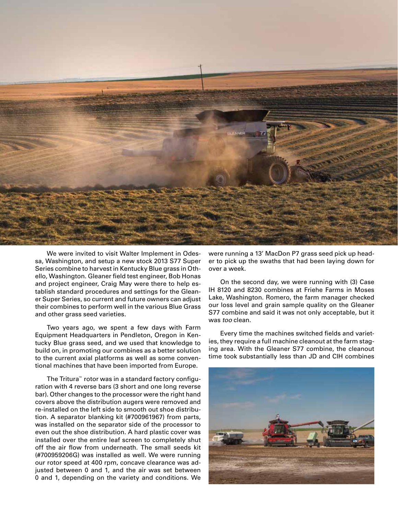

We were invited to visit Walter Implement in Odessa, Washington, and setup a new stock 2013 S77 Super Series combine to harvest in Kentucky Blue grass in Othello, Washington. Gleaner field test engineer, Bob Honas and project engineer, Craig May were there to help establish standard procedures and settings for the Gleaner Super Series, so current and future owners can adjust their combines to perform well in the various Blue Grass and other grass seed varieties.

Two years ago, we spent a few days with Farm Equipment Headquarters in Pendleton, Oregon in Kentucky Blue grass seed, and we used that knowledge to build on, in promoting our combines as a better solution to the current axial platforms as well as some conventional machines that have been imported from Europe.

The Tritura™ rotor was in a standard factory configuration with 4 reverse bars (3 short and one long reverse bar). Other changes to the processor were the right hand covers above the distribution augers were removed and re-installed on the left side to smooth out shoe distribution. A separator blanking kit (#700961967) from parts, was installed on the separator side of the processor to even out the shoe distribution. A hard plastic cover was installed over the entire leaf screen to completely shut off the air flow from underneath. The small seeds kit (#700959206G) was installed as well. We were running our rotor speed at 400 rpm, concave clearance was adjusted between 0 and 1, and the air was set between 0 and 1, depending on the variety and conditions. We

were running a 13' MacDon P7 grass seed pick up header to pick up the swaths that had been laying down for over a week.

On the second day, we were running with (3) Case IH 8120 and 8230 combines at Friehe Farms in Moses Lake, Washington. Romero, the farm manager checked our loss level and grain sample quality on the Gleaner S77 combine and said it was not only acceptable, but it was *too* clean.

Every time the machines switched fields and varieties, they require a full machine cleanout at the farm staging area. With the Gleaner S77 combine, the cleanout time took substantially less than JD and CIH combines

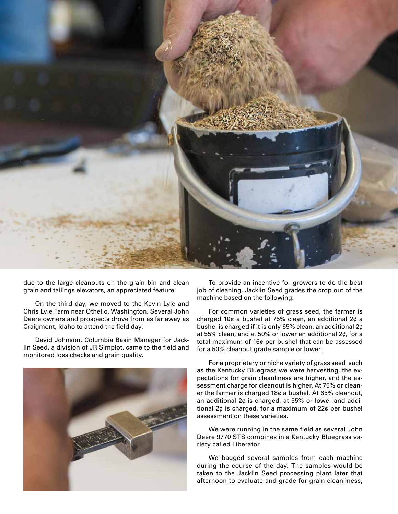

due to the large cleanouts on the grain bin and clean grain and tailings elevators, an appreciated feature.

On the third day, we moved to the Kevin Lyle and Chris Lyle Farm near Othello, Washington. Several John Deere owners and prospects drove from as far away as Craigmont, Idaho to attend the field day.

David Johnson, Columbia Basin Manager for Jacklin Seed, a division of JR Simplot, came to the field and monitored loss checks and grain quality.



To provide an incentive for growers to do the best job of cleaning, Jacklin Seed grades the crop out of the machine based on the following:

For common varieties of grass seed, the farmer is charged 10¢ a bushel at 75% clean, an additional 2¢ a bushel is charged if it is only 65% clean, an additional 2¢ at 55% clean, and at 50% or lower an additional 2¢, for a total maximum of 16¢ per bushel that can be assessed for a 50% cleanout grade sample or lower.

For a proprietary or niche variety of grass seed such as the Kentucky Bluegrass we were harvesting, the expectations for grain cleanliness are higher, and the assessment charge for cleanout is higher. At 75% or cleaner the farmer is charged 18¢ a bushel. At 65% cleanout, an additional 2¢ is charged, at 55% or lower and additional 2¢ is charged, for a maximum of 22¢ per bushel assessment on these varieties.

We were running in the same field as several John Deere 9770 STS combines in a Kentucky Bluegrass variety called Liberator.

We bagged several samples from each machine during the course of the day. The samples would be taken to the Jacklin Seed processing plant later that afternoon to evaluate and grade for grain cleanliness,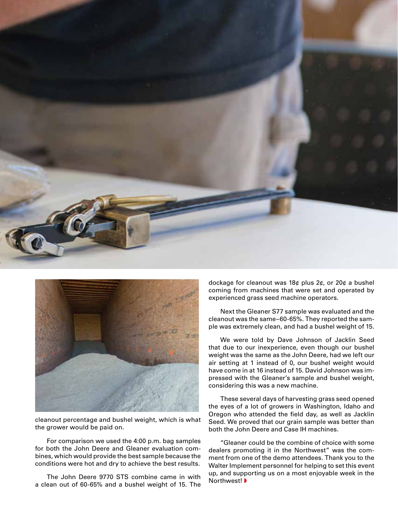



cleanout percentage and bushel weight, which is what the grower would be paid on.

For comparison we used the 4:00 p.m. bag samples for both the John Deere and Gleaner evaluation combines, which would provide the best sample because the conditions were hot and dry to achieve the best results.

The John Deere 9770 STS combine came in with a clean out of 60-65% and a bushel weight of 15. The

dockage for cleanout was 18¢ plus 2¢, or 20¢ a bushel coming from machines that were set and operated by experienced grass seed machine operators.

Next the Gleaner S77 sample was evaluated and the cleanout was the same–60-65%. They reported the sample was extremely clean, and had a bushel weight of 15.

We were told by Dave Johnson of Jacklin Seed that due to our inexperience, even though our bushel weight was the same as the John Deere, had we left our air setting at 1 instead of 0, our bushel weight would have come in at 16 instead of 15. David Johnson was impressed with the Gleaner's sample and bushel weight, considering this was a new machine.

These several days of harvesting grass seed opened the eyes of a lot of growers in Washington, Idaho and Oregon who attended the field day, as well as Jacklin Seed. We proved that our grain sample was better than both the John Deere and Case IH machines.

"Gleaner could be the combine of choice with some dealers promoting it in the Northwest" was the comment from one of the demo attendees. Thank you to the Walter Implement personnel for helping to set this event up, and supporting us on a most enjoyable week in the Northwest! ◗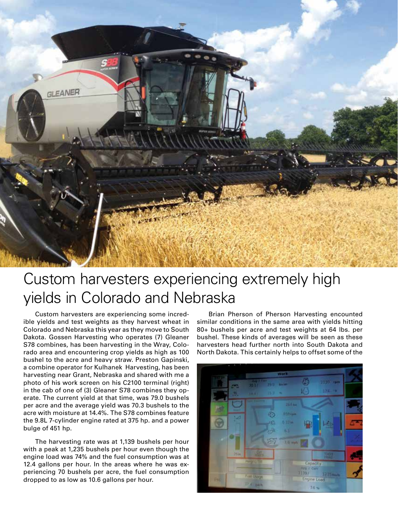

### Custom harvesters experiencing extremely high yields in Colorado and Nebraska

Custom harvesters are experiencing some incredible yields and test weights as they harvest wheat in Colorado and Nebraska this year as they move to South Dakota. Gossen Harvesting who operates (7) Gleaner S78 combines, has been harvesting in the Wray, Colorado area and encountering crop yields as high as 100 bushel to the acre and heavy straw. Preston Gapinski, a combine operator for Kulhanek Harvesting, has been harvesting near Grant, Nebraska and shared with me a photo of his work screen on his C2100 terminal (right) in the cab of one of (3) Gleaner S78 combines they operate. The current yield at that time, was 79.0 bushels per acre and the average yield was 70.3 bushels to the acre with moisture at 14.4%. The S78 combines feature the 9.8L 7-cylinder engine rated at 375 hp. and a power bulge of 451 hp.

The harvesting rate was at 1,139 bushels per hour with a peak at 1,235 bushels per hour even though the engine load was 74% and the fuel consumption was at 12.4 gallons per hour. In the areas where he was experiencing 70 bushels per acre, the fuel consumption dropped to as low as 10.6 gallons per hour.

Brian Pherson of Pherson Harvesting encounted similar conditions in the same area with yields hitting 80+ bushels per acre and test weights at 64 lbs. per bushel. These kinds of averages will be seen as these harvesters head further north into South Dakota and North Dakota. This certainly helps to offset some of the

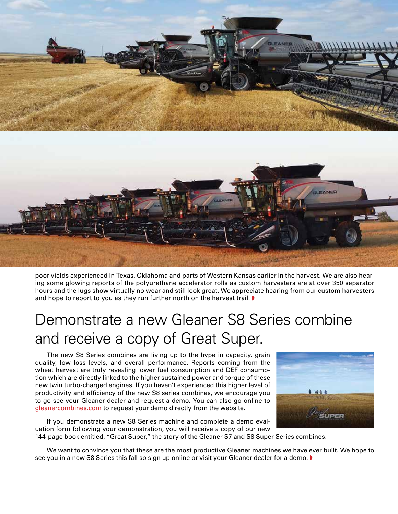

poor yields experienced in Texas, Oklahoma and parts of Western Kansas earlier in the harvest. We are also hearing some glowing reports of the polyurethane accelerator rolls as custom harvesters are at over 350 separator hours and the lugs show virtually no wear and still look great. We appreciate hearing from our custom harvesters and hope to report to you as they run further north on the harvest trail.  $\blacktriangleright$ 

### Demonstrate a new Gleaner S8 Series combine and receive a copy of Great Super.

The new S8 Series combines are living up to the hype in capacity, grain quality, low loss levels, and overall performance. Reports coming from the wheat harvest are truly revealing lower fuel consumption and DEF consumption which are directly linked to the higher sustained power and torque of these new twin turbo-charged engines. If you haven't experienced this higher level of productivity and efficiency of the new S8 series combines, we encourage you to go see your Gleaner dealer and request a demo. You can also go online to gleanercombines.com to request your demo directly from the website.

If you demonstrate a new S8 Series machine and complete a demo evaluation form following your demonstration, you will receive a copy of our new



144-page book entitled, "Great Super," the story of the Gleaner S7 and S8 Super Series combines.

We want to convince you that these are the most productive Gleaner machines we have ever built. We hope to see you in a new S8 Series this fall so sign up online or visit your Gleaner dealer for a demo. ▶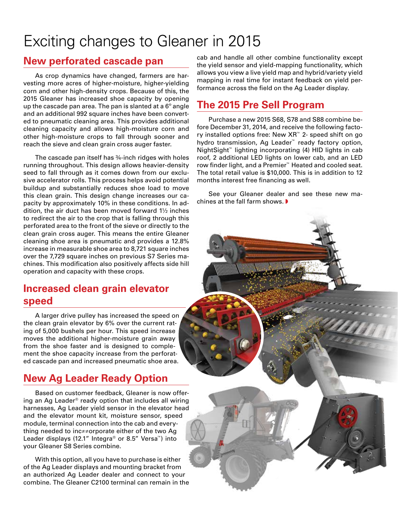### Exciting changes to Gleaner in 2015

#### **New perforated cascade pan**

As crop dynamics have changed, farmers are harvesting more acres of higher-moisture, higher-yielding corn and other high-density crops. Because of this, the 2015 Gleaner has increased shoe capacity by opening up the cascade pan area. The pan is slanted at a  $6^{\circ}$  angle and an additional 992 square inches have been converted to pneumatic cleaning area. This provides additional cleaning capacity and allows high-moisture corn and other high-moisture crops to fall through sooner and reach the sieve and clean grain cross auger faster.

The cascade pan itself has ¾-inch ridges with holes running throughout. This design allows heavier-density seed to fall through as it comes down from our exclusive accelerator rolls. This process helps avoid potential buildup and substantially reduces shoe load to move this clean grain. This design change increases our capacity by approximately 10% in these conditions. In addition, the air duct has been moved forward 1½ inches to redirect the air to the crop that is falling through this perforated area to the front of the sieve or directly to the clean grain cross auger. This means the entire Gleaner cleaning shoe area is pneumatic and provides a 12.8% increase in measurable shoe area to 8,721 square inches over the 7,729 square inches on previous S7 Series machines. This modification also positively affects side hill operation and capacity with these crops.

#### **Increased clean grain elevator speed**

A larger drive pulley has increased the speed on the clean grain elevator by 6% over the current rating of 5,000 bushels per hour. This speed increase moves the additional higher-moisture grain away from the shoe faster and is designed to complement the shoe capacity increase from the perforated cascade pan and increased pneumatic shoe area.

### **New Ag Leader Ready Option**

Based on customer feedback, Gleaner is now offering an Ag Leader® ready option that includes all wiring harnesses, Ag Leader yield sensor in the elevator head and the elevator mount kit, moisture sensor, speed module, terminal connection into the cab and everything needed to inc≠≠orporate either of the two Ag Leader displays (12.1" Integra® or 8.5" Versa™) into your Gleaner S8 Series combine.

With this option, all you have to purchase is either of the Ag Leader displays and mounting bracket from an authorized Ag Leader dealer and connect to your combine. The Gleaner C2100 terminal can remain in the

cab and handle all other combine functionality except the yield sensor and yield-mapping functionality, which allows you view a live yield map and hybrid/variety yield mapping in real time for instant feedback on yield performance across the field on the Ag Leader display.

#### **The 2015 Pre Sell Program**

Purchase a new 2015 S68, S78 and S88 combine before December 31, 2014, and receive the following factory installed options free: New XR™ 2- speed shift on go hydro transmission, Ag Leader™ ready factory option, NightSight™ lighting incorporating (4) HID lights in cab roof, 2 additional LED lights on lower cab, and an LED row finder light, and a Premier™ Heated and cooled seat. The total retail value is \$10,000. This is in addition to 12 months interest free financing as well.

See your Gleaner dealer and see these new machines at the fall farm shows. ◗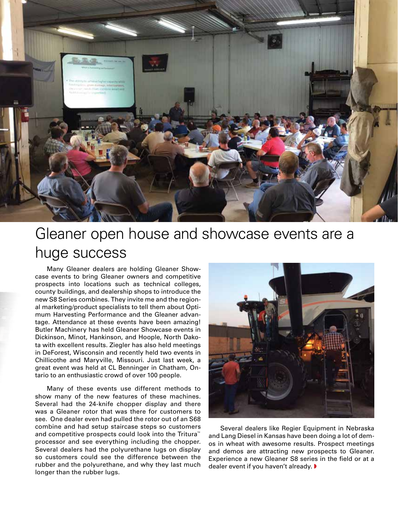

### Gleaner open house and showcase events are a huge success

Many Gleaner dealers are holding Gleaner Showcase events to bring Gleaner owners and competitive prospects into locations such as technical colleges, county buildings, and dealership shops to introduce the new S8 Series combines. They invite me and the regional marketing/product specialists to tell them about Optimum Harvesting Performance and the Gleaner advantage. Attendance at these events have been amazing! Butler Machinery has held Gleaner Showcase events in Dickinson, Minot, Hankinson, and Hoople, North Dakota with excellent results. Ziegler has also held meetings in DeForest, Wisconsin and recently held two events in Chillicothe and Maryville, Missouri. Just last week, a great event was held at CL Benninger in Chatham, Ontario to an enthusiastic crowd of over 100 people.

Many of these events use different methods to show many of the new features of these machines. Several had the 24-knife chopper display and there was a Gleaner rotor that was there for customers to see. One dealer even had pulled the rotor out of an S68 combine and had setup staircase steps so customers and competitive prospects could look into the Tritura™ processor and see everything including the chopper. Several dealers had the polyurethane lugs on display so customers could see the difference between the rubber and the polyurethane, and why they last much longer than the rubber lugs.



Several dealers like Regier Equipment in Nebraska and Lang Diesel in Kansas have been doing a lot of demos in wheat with awesome results. Prospect meetings and demos are attracting new prospects to Gleaner. Experience a new Gleaner S8 series in the field or at a dealer event if you haven't already. ▶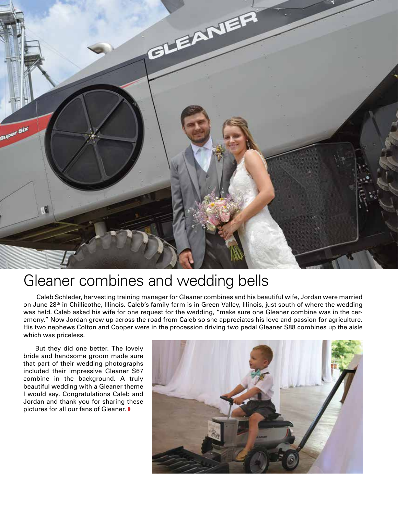

### Gleaner combines and wedding bells

 Caleb Schleder, harvesting training manager for Gleaner combines and his beautiful wife, Jordan were married on June 28th in Chillicothe, Illinois. Caleb's family farm is in Green Valley, Illinois, just south of where the wedding was held. Caleb asked his wife for one request for the wedding, "make sure one Gleaner combine was in the ceremony." Now Jordan grew up across the road from Caleb so she appreciates his love and passion for agriculture. His two nephews Colton and Cooper were in the procession driving two pedal Gleaner S88 combines up the aisle which was priceless.

But they did one better. The lovely bride and handsome groom made sure that part of their wedding photographs included their impressive Gleaner S67 combine in the background. A truly beautiful wedding with a Gleaner theme I would say. Congratulations Caleb and Jordan and thank you for sharing these pictures for all our fans of Gleaner. ▶

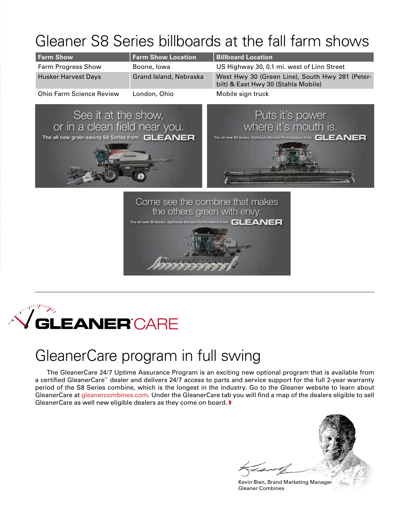## Gleaner S8 Series billboards at the fall farm shows

| <b>Farm Show</b>                | <b>Farm Show Location</b> | <b>Billboard Location</b>                                                              |
|---------------------------------|---------------------------|----------------------------------------------------------------------------------------|
| <b>Farm Progress Show</b>       | Boone, Iowa               | US Highway 30, 0.1 mi. west of Linn Street                                             |
| <b>Husker Harvest Days</b>      | Grand Island, Nebraska    | West Hwy 30 (Green Line), South Hwy 281 (Peter-<br>bilt) & East Hwy 30 (Stahla Mobile) |
| <b>Ohio Farm Science Review</b> | London, Ohio              | Mobile sign truck                                                                      |



the others green with envy. The all new S6 Series. Optimum Harvest Performance from GLEANER

### Sergen **GLEANER**'CARE

### GleanerCare program in full swing

The GleanerCare 24/7 Uptime Assurance Program is an exciting new optional program that is available from a certified GleanerCare™ dealer and delivers 24/7 access to parts and service support for the full 2-year warranty period of the S8 Series combine, which is the longest in the industry. Go to the Gleaner website to learn about GleanerCare at gleanercombines.com. Under the GleanerCare tab you will find a map of the dealers eligible to sell GleanerCare as well new eligible dealers as they come on board. ▶

Kevin Bien, Brand Marketing Manager Gleaner Combines